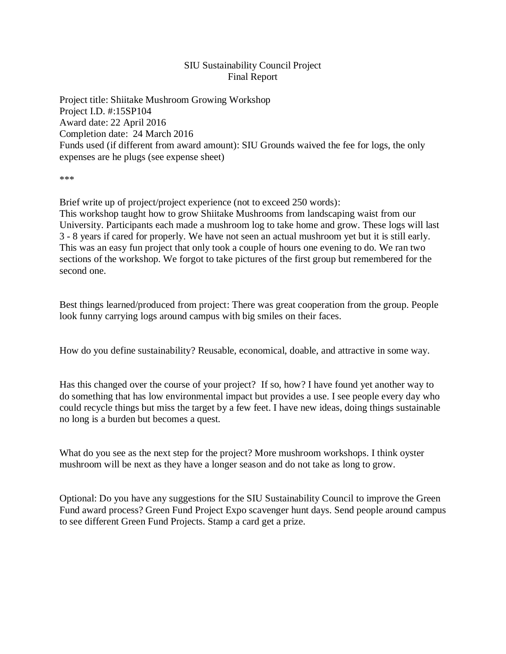## SIU Sustainability Council Project Final Report

Project title: Shiitake Mushroom Growing Workshop Project I.D. #:15SP104 Award date: 22 April 2016 Completion date: 24 March 2016 Funds used (if different from award amount): SIU Grounds waived the fee for logs, the only expenses are he plugs (see expense sheet)

\*\*\*

Brief write up of project/project experience (not to exceed 250 words): This workshop taught how to grow Shiitake Mushrooms from landscaping waist from our University. Participants each made a mushroom log to take home and grow. These logs will last 3 - 8 years if cared for properly. We have not seen an actual mushroom yet but it is still early. This was an easy fun project that only took a couple of hours one evening to do. We ran two sections of the workshop. We forgot to take pictures of the first group but remembered for the second one.

Best things learned/produced from project: There was great cooperation from the group. People look funny carrying logs around campus with big smiles on their faces.

How do you define sustainability? Reusable, economical, doable, and attractive in some way.

Has this changed over the course of your project? If so, how? I have found yet another way to do something that has low environmental impact but provides a use. I see people every day who could recycle things but miss the target by a few feet. I have new ideas, doing things sustainable no long is a burden but becomes a quest.

What do you see as the next step for the project? More mushroom workshops. I think oyster mushroom will be next as they have a longer season and do not take as long to grow.

Optional: Do you have any suggestions for the SIU Sustainability Council to improve the Green Fund award process? Green Fund Project Expo scavenger hunt days. Send people around campus to see different Green Fund Projects. Stamp a card get a prize.